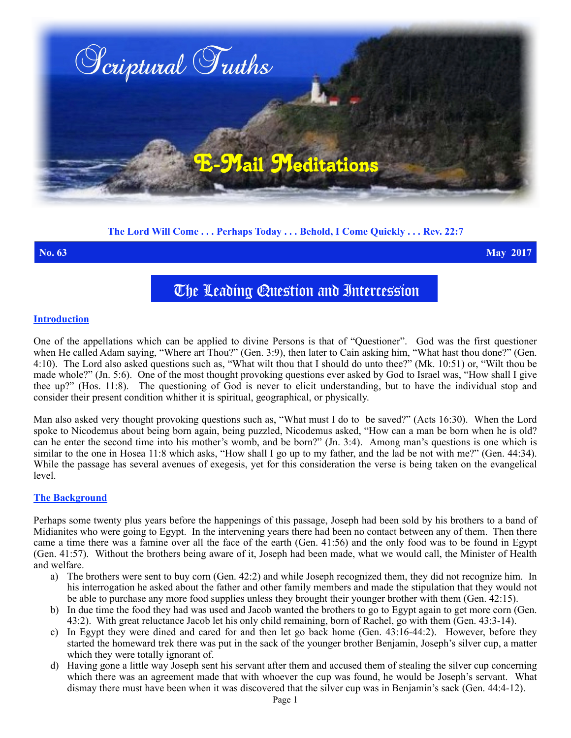

# **The Lord Will Come . . . Perhaps Today . . . Behold, I Come Quickly . . . Rev. 22:7**

**No. 63 May 2017**

# The Leading Question and Intercession

### **Introduction**

One of the appellations which can be applied to divine Persons is that of "Questioner". God was the first questioner when He called Adam saying, "Where art Thou?" (Gen. 3:9), then later to Cain asking him, "What hast thou done?" (Gen. 4:10). The Lord also asked questions such as, "What wilt thou that I should do unto thee?" (Mk. 10:51) or, "Wilt thou be made whole?" (Jn. 5:6). One of the most thought provoking questions ever asked by God to Israel was, "How shall I give thee up?" (Hos. 11:8). The questioning of God is never to elicit understanding, but to have the individual stop and consider their present condition whither it is spiritual, geographical, or physically.

Man also asked very thought provoking questions such as, "What must I do to be saved?" (Acts 16:30). When the Lord spoke to Nicodemus about being born again, being puzzled, Nicodemus asked, "How can a man be born when he is old? can he enter the second time into his mother's womb, and be born?" (Jn. 3:4). Among man's questions is one which is similar to the one in Hosea 11:8 which asks, "How shall I go up to my father, and the lad be not with me?" (Gen. 44:34). While the passage has several avenues of exegesis, yet for this consideration the verse is being taken on the evangelical level.

### **The Background**

Perhaps some twenty plus years before the happenings of this passage, Joseph had been sold by his brothers to a band of Midianites who were going to Egypt. In the intervening years there had been no contact between any of them. Then there came a time there was a famine over all the face of the earth (Gen. 41:56) and the only food was to be found in Egypt (Gen. 41:57). Without the brothers being aware of it, Joseph had been made, what we would call, the Minister of Health and welfare.

- a) The brothers were sent to buy corn (Gen. 42:2) and while Joseph recognized them, they did not recognize him. In his interrogation he asked about the father and other family members and made the stipulation that they would not be able to purchase any more food supplies unless they brought their younger brother with them (Gen. 42:15).
- b) In due time the food they had was used and Jacob wanted the brothers to go to Egypt again to get more corn (Gen. 43:2). With great reluctance Jacob let his only child remaining, born of Rachel, go with them (Gen. 43:3-14).
- c) In Egypt they were dined and cared for and then let go back home (Gen. 43:16-44:2). However, before they started the homeward trek there was put in the sack of the younger brother Benjamin, Joseph's silver cup, a matter which they were totally ignorant of.
- d) Having gone a little way Joseph sent his servant after them and accused them of stealing the silver cup concerning which there was an agreement made that with whoever the cup was found, he would be Joseph's servant. What dismay there must have been when it was discovered that the silver cup was in Benjamin's sack (Gen. 44:4-12).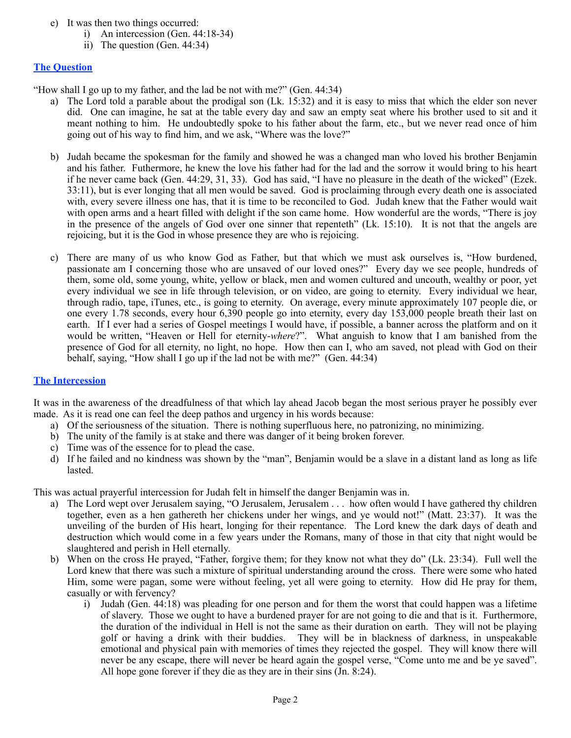- e) It was then two things occurred:
	- i) An intercession (Gen. 44:18-34)
	- ii) The question (Gen. 44:34)

# **The Question**

"How shall I go up to my father, and the lad be not with me?" (Gen. 44:34)

- a) The Lord told a parable about the prodigal son (Lk. 15:32) and it is easy to miss that which the elder son never did. One can imagine, he sat at the table every day and saw an empty seat where his brother used to sit and it meant nothing to him. He undoubtedly spoke to his father about the farm, etc., but we never read once of him going out of his way to find him, and we ask, "Where was the love?"
- b) Judah became the spokesman for the family and showed he was a changed man who loved his brother Benjamin and his father. Futhermore, he knew the love his father had for the lad and the sorrow it would bring to his heart if he never came back (Gen. 44:29, 31, 33). God has said, "I have no pleasure in the death of the wicked" (Ezek. 33:11), but is ever longing that all men would be saved. God is proclaiming through every death one is associated with, every severe illness one has, that it is time to be reconciled to God. Judah knew that the Father would wait with open arms and a heart filled with delight if the son came home. How wonderful are the words, "There is joy in the presence of the angels of God over one sinner that repenteth" (Lk. 15:10). It is not that the angels are rejoicing, but it is the God in whose presence they are who is rejoicing.
- c) There are many of us who know God as Father, but that which we must ask ourselves is, "How burdened, passionate am I concerning those who are unsaved of our loved ones?" Every day we see people, hundreds of them, some old, some young, white, yellow or black, men and women cultured and uncouth, wealthy or poor, yet every individual we see in life through television, or on video, are going to eternity. Every individual we hear, through radio, tape, iTunes, etc., is going to eternity. On average, every minute approximately 107 people die, or one every 1.78 seconds, every hour 6,390 people go into eternity, every day 153,000 people breath their last on earth. If I ever had a series of Gospel meetings I would have, if possible, a banner across the platform and on it would be written, "Heaven or Hell for eternity-*where*?". What anguish to know that I am banished from the presence of God for all eternity, no light, no hope. How then can I, who am saved, not plead with God on their behalf, saying, "How shall I go up if the lad not be with me?" (Gen. 44:34)

## **The Intercession**

It was in the awareness of the dreadfulness of that which lay ahead Jacob began the most serious prayer he possibly ever made. As it is read one can feel the deep pathos and urgency in his words because:

- a) Of the seriousness of the situation. There is nothing superfluous here, no patronizing, no minimizing.
- b) The unity of the family is at stake and there was danger of it being broken forever.
- c) Time was of the essence for to plead the case.
- d) If he failed and no kindness was shown by the "man", Benjamin would be a slave in a distant land as long as life lasted.

This was actual prayerful intercession for Judah felt in himself the danger Benjamin was in.

- a) The Lord wept over Jerusalem saying, "O Jerusalem, Jerusalem . . . how often would I have gathered thy children together, even as a hen gathereth her chickens under her wings, and ye would not!" (Matt. 23:37). It was the unveiling of the burden of His heart, longing for their repentance. The Lord knew the dark days of death and destruction which would come in a few years under the Romans, many of those in that city that night would be slaughtered and perish in Hell eternally.
- b) When on the cross He prayed, "Father, forgive them; for they know not what they do" (Lk. 23:34). Full well the Lord knew that there was such a mixture of spiritual understanding around the cross. There were some who hated Him, some were pagan, some were without feeling, yet all were going to eternity. How did He pray for them, casually or with fervency?
	- i) Judah (Gen. 44:18) was pleading for one person and for them the worst that could happen was a lifetime of slavery. Those we ought to have a burdened prayer for are not going to die and that is it. Furthermore, the duration of the individual in Hell is not the same as their duration on earth. They will not be playing golf or having a drink with their buddies. They will be in blackness of darkness, in unspeakable emotional and physical pain with memories of times they rejected the gospel. They will know there will never be any escape, there will never be heard again the gospel verse, "Come unto me and be ye saved". All hope gone forever if they die as they are in their sins (Jn. 8:24).